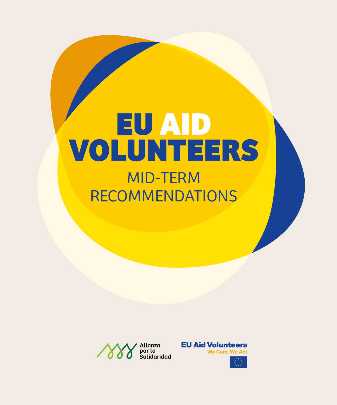# **EU AID VOLUNTEERS** MID-TERM RECOMMENDATIONS



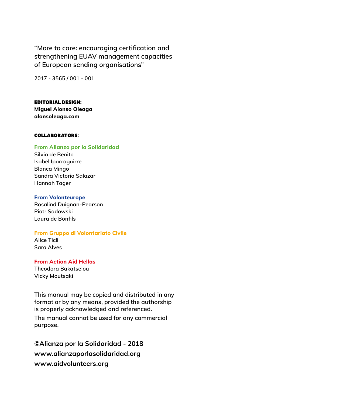**"More to care: encouraging certification and strengthening EUAV management capacities of European sending organisations"**

**2017 - 3565 / 001 - 001**

**EDITORIAL DESIGN:**

**Miguel Alonso Oleaga alonsoleaga.com**

#### **COLLABORATORS:**

#### **From Alianza por la Solidaridad**

**Silvia de Benito Isabel Iparraguirre Blanca Mingo Sandra Victoria Salazar Hannah Tager**

#### **From Volonteurope**

**Rosalind Duignan-Pearson Piotr Sadowski Laura de Bonfils**

#### **From Gruppo di Volontariato Civile**

**Alice Ticli Sara Alves**

#### **From Action Aid Hellas**

**Theodora Bakatselou Vicky Moutsaki**

**This manual may be copied and distributed in any format or by any means, provided the authorship is properly acknowledged and referenced.**

**The manual cannot be used for any commercial purpose.**

**©Alianza por la Solidaridad - 2018 www.alianzaporlasolidaridad.org www.aidvolunteers.org**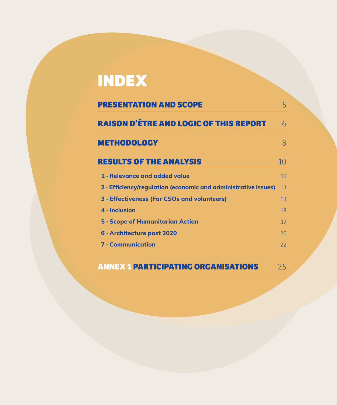# **INDEX**

| <b>PRESENTATION AND SCOPE</b>                                  |    |
|----------------------------------------------------------------|----|
| <b>RAISON D'ÊTRE AND LOGIC OF THIS REPORT</b>                  | 6  |
| <b>METHODOLOGY</b>                                             | 8  |
| <b>RESULTS OF THE ANALYSIS</b>                                 | 10 |
| 1 - Relevance and added value                                  | 10 |
| 2 · Efficiency/regulation (economic and administrative issues) | 11 |
| 3 · Effectiveness (For CSOs and volunteers)                    | 13 |
| 4 - Inclusion                                                  | 18 |
| <b>5 · Scope of Humanitarian Action</b>                        | 19 |
| 6 · Architecture post 2020                                     | 20 |
| <b>7 · Communication</b>                                       | 22 |

## **ANNEX 1 PARTICIPATING ORGANISATIONS** 25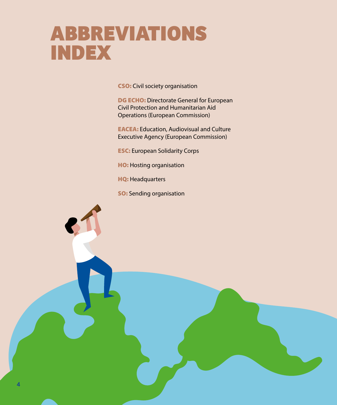# **ABBREVIATIONS INDEX**

CSO: Civil society organisation

DG ECHO: Directorate General for European Civil Protection and Humanitarian Aid Operations (European Commission)

EACEA: Education, Audiovisual and Culture Executive Agency (European Commission)

ESC: European Solidarity Corps

HO: Hosting organisation

HQ: Headquarters

**SO:** Sending organisation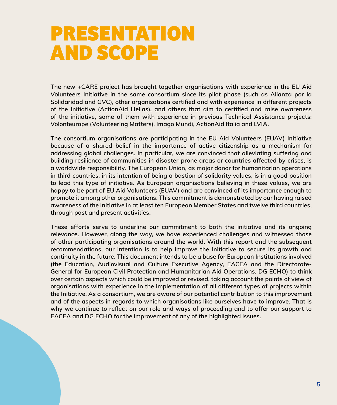# **PRESENTATION AND SCOPE**

**The new +CARE project has brought together organisations with experience in the EU Aid Volunteers Initiative in the same consortium since its pilot phase (such as Alianza por la Solidaridad and GVC), other organisations certified and with experience in different projects of the Initiative (ActionAid Hellas), and others that aim to certified and raise awareness of the initiative, some of them with experience in previous Technical Assistance projects: Volonteurope (Volunteering Matters), Imago Mundi, ActionAid Italia and LVIA.**

**The consortium organisations are participating in the EU Aid Volunteers (EUAV) Initiative because of a shared belief in the importance of active citizenship as a mechanism for addressing global challenges. In particular, we are convinced that alleviating suffering and building resilience of communities in disaster-prone areas or countries affected by crises, is a worldwide responsibility. The European Union, as major donor for humanitarian operations in third countries, in its intention of being a bastion of solidarity values, is in a good position to lead this type of initiative. As European organisations believing in these values, we are happy to be part of EU Aid Volunteers (EUAV) and are convinced of its importance enough to promote it among other organisations. This commitment is demonstrated by our having raised awareness of the Initiative in at least ten European Member States and twelve third countries, through past and present activities.**

**These efforts serve to underline our commitment to both the initiative and its ongoing relevance. However, along the way, we have experienced challenges and witnessed those of other participating organisations around the world. With this report and the subsequent recommendations, our intention is to help improve the Initiative to secure its growth and continuity in the future. This document intends to be a base for European Institutions involved (the Education, Audiovisual and Culture Executive Agency, EACEA and the Directorate-General for European Civil Protection and Humanitarian Aid Operations, DG ECHO) to think over certain aspects which could be improved or revised, taking account the points of view of organisations with experience in the implementation of all different types of projects within the Initiative. As a consortium, we are aware of our potential contribution to this improvement and of the aspects in regards to which organisations like ourselves have to improve. That is why we continue to reflect on our role and ways of proceeding and to offer our support to EACEA and DG ECHO for the improvement of any of the highlighted issues.**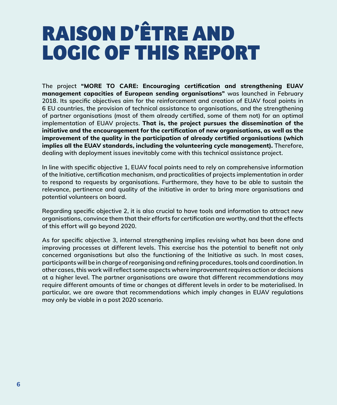# **RAISON D'ÊTRE AND LOGIC OF THIS REPORT**

**The project "MORE TO CARE: Encouraging certification and strengthening EUAV management capacities of European sending organisations" was launched in February 2018. Its specific objectives aim for the reinforcement and creation of EUAV focal points in 6 EU countries, the provision of technical assistance to organisations, and the strengthening of partner organisations (most of them already certified, some of them not) for an optimal implementation of EUAV projects. That is, the project pursues the dissemination of the initiative and the encouragement for the certification of new organisations, as well as the improvement of the quality in the participation of already certified organisations (which implies all the EUAV standards, including the volunteering cycle management). Therefore, dealing with deployment issues inevitably come with this technical assistance project.** 

**In line with specific objective 1, EUAV focal points need to rely on comprehensive information of the Initiative, certification mechanism, and practicalities of projects implementation in order to respond to requests by organisations. Furthermore, they have to be able to sustain the relevance, pertinence and quality of the initiative in order to bring more organisations and potential volunteers on board.**

**Regarding specific objective 2, it is also crucial to have tools and information to attract new organisations, convince them that their efforts for certification are worthy, and that the effects of this effort will go beyond 2020.**

**As for specific objective 3, internal strengthening implies revising what has been done and improving processes at different levels. This exercise has the potential to benefit not only concerned organisations but also the functioning of the Initiative as such. In most cases, participants will be in charge of reorganising and refining procedures, tools and coordination. In other cases, this work will reflect some aspects where improvement requires action or decisions at a higher level. The partner organisations are aware that different recommendations may require different amounts of time or changes at different levels in order to be materialised. In particular, we are aware that recommendations which imply changes in EUAV regulations may only be viable in a post 2020 scenario.**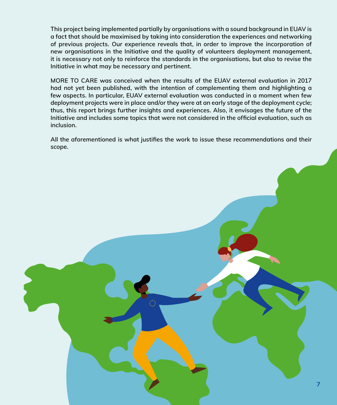**This project being implemented partially by organisations with a sound background in EUAV is a fact that should be maximised by taking into consideration the experiences and networking of previous projects. Our experience reveals that, in order to improve the incorporation of new organisations in the Initiative and the quality of volunteers deployment management, it is necessary not only to reinforce the standards in the organisations, but also to revise the Initiative in what may be necessary and pertinent.**

**MORE TO CARE was conceived when the results of the EUAV external evaluation in 2017 had not yet been published, with the intention of complementing them and highlighting a few aspects. In particular, EUAV external evaluation was conducted in a moment when few deployment projects were in place and/or they were at an early stage of the deployment cycle; thus, this report brings further insights and experiences. Also, it envisages the future of the Initiative and includes some topics that were not considered in the official evaluation, such as inclusion.** 

**All the aforementioned is what justifies the work to issue these recommendations and their scope.** 

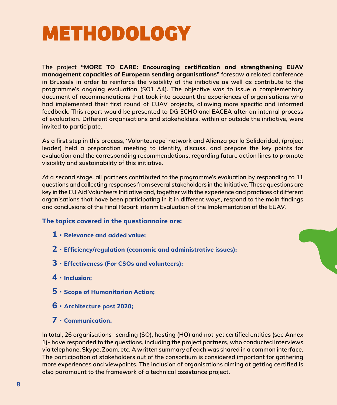# **METHODOLOGY**

**The project "MORE TO CARE: Encouraging certification and strengthening EUAV management capacities of European sending organisations" foresaw a related conference in Brussels in order to reinforce the visibility of the initiative as well as contribute to the programme's ongoing evaluation (SO1 A4). The objective was to issue a complementary document of recommendations that took into account the experiences of organisations who had implemented their first round of EUAV projects, allowing more specific and informed feedback. This report would be presented to DG ECHO and EACEA after an internal process of evaluation. Different organisations and stakeholders, within or outside the initiative, were invited to participate.** 

**As a first step in this process, 'Volonteurope' network and Alianza por la Solidaridad, (project leader) held a preparation meeting to identify, discuss, and prepare the key points for evaluation and the corresponding recommendations, regarding future action lines to promote visibility and sustainability of this initiative.** 

**At a second stage, all partners contributed to the programme's evaluation by responding to 11 questions and collecting responses from several stakeholders in the Initiative. These questions are key in the EU Aid Volunteers Initiative and, together with the experience and practices of different organisations that have been participating in it in different ways, respond to the main findings and conclusions of the Final Report Interim Evaluation of the Implementation of the EUAV.** 

#### **The topics covered in the questionnaire are:**

- **1 · Relevance and added value;**
- **2 · Efficiency/regulation (economic and administrative issues);**
- **3 · Effectiveness (For CSOs and volunteers);**
- **4 · Inclusion;**
- **5 · Scope of Humanitarian Action;**
- **6 · Architecture post 2020;**
- **7 · Communication.**

**In total, 26 organisations -sending (SO), hosting (HO) and not-yet certified entities (see Annex 1)- have responded to the questions, including the project partners, who conducted interviews via telephone, Skype, Zoom, etc. A written summary of each was shared in a common interface. The participation of stakeholders out of the consortium is considered important for gathering more experiences and viewpoints. The inclusion of organisations aiming at getting certified is also paramount to the framework of a technical assistance project.**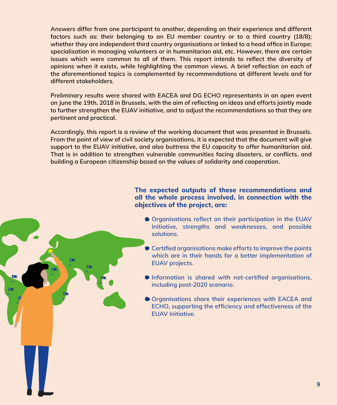**Answers differ from one participant to another, depending on their experience and different factors such as: their belonging to an EU member country or to a third country (18/8); whether they are independent third country organisations or linked to a head office in Europe; specialisation in managing volunteers or in humanitarian aid, etc. However, there are certain issues which were common to all of them. This report intends to reflect the diversity of opinions when it exists, while highlighting the common views. A brief reflection on each of the aforementioned topics is complemented by recommendations at different levels and for different stakeholders.** 

**Preliminary results were shared with EACEA and DG ECHO representants in an open event on June the 19th, 2018 in Brussels, with the aim of reflecting on ideas and efforts jointly made to further strengthen the EUAV initiative, and to adjust the recommendations so that they are pertinent and practical.** 

**Accordingly, this report is a review of the working document that was presented in Brussels. From the point of view of civil society organisations, it is expected that the document will give support to the EUAV initiative, and also buttress the EU capacity to offer humanitarian aid. That is in addition to strengthen vulnerable communities facing disasters, or conflicts, and building a European citizenship based on the values of solidarity and cooperation.**

#### **The expected outputs of these recommendations and all the whole process involved, in connection with the objectives of the project, are:**

- **Organisations reflect on their participation in the EUAV Initiative, strengths and weaknesses, and possible solutions.**
- **Certified organisations make efforts to improve the points which are in their hands for a better implementation of EUAV projects.**
- **Information is shared with not-certified organisations, including post-2020 scenario.**
- **Organisations share their experiences with EACEA and ECHO, supporting the efficiency and effectiveness of the EUAV Initiative.**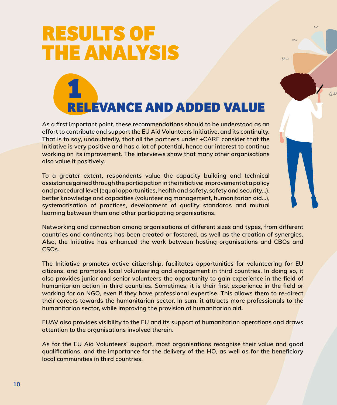# **RESULTS OF THE ANALYSIS**

# **1 RELEVANCE AND ADDED VALUE**

 $\overline{M}$ 

 $_{0}$ 

**As a first important point, these recommendations should to be understood as an effort to contribute and support the EU Aid Volunteers Initiative, and its continuity. That is to say, undoubtedly, that all the partners under +CARE consider that the Initiative is very positive and has a lot of potential, hence our interest to continue working on its improvement. The interviews show that many other organisations also value it positively.**

**To a greater extent, respondents value the capacity building and technical assistance gained through the participation in the initiative: improvement at a policy and procedural level (equal opportunities, health and safety, safety and security…), better knowledge and capacities (volunteering management, humanitarian aid…), systematisation of practices, development of quality standards and mutual learning between them and other participating organisations.** 

**Networking and connection among organisations of different sizes and types, from different countries and continents has been created or fostered, as well as the creation of synergies. Also, the Initiative has enhanced the work between hosting organisations and CBOs and CSOs.**

**The Initiative promotes active citizenship, facilitates opportunities for volunteering for EU citizens, and promotes local volunteering and engagement in third countries. In doing so, it also provides junior and senior volunteers the opportunity to gain experience in the field of humanitarian action in third countries. Sometimes, it is their first experience in the field or working for an NGO, even if they have professional expertise. This allows them to re-direct their careers towards the humanitarian sector. In sum, it attracts more professionals to the humanitarian sector, while improving the provision of humanitarian aid.**

**EUAV also provides visibility to the EU and its support of humanitarian operations and draws attention to the organisations involved therein.**

**As for the EU Aid Volunteers' support, most organisations recognise their value and good qualifications, and the importance for the delivery of the HO, as well as for the beneficiary local communities in third countries.**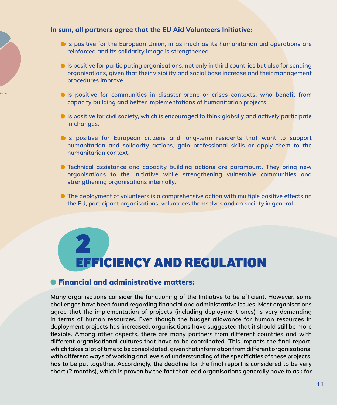#### **In sum, all partners agree that the EU Aid Volunteers Initiative:**

- **Is positive for the European Union, in as much as its humanitarian aid operations are reinforced and its solidarity image is strengthened.**
- **Is positive for participating organisations, not only in third countries but also for sending organisations, given that their visibility and social base increase and their management procedures improve.**
- **Is positive for communities in disaster-prone or crises contexts, who benefit from capacity building and better implementations of humanitarian projects.**
- **Is positive for civil society, which is encouraged to think globally and actively participate in changes.**
- **Is positive for European citizens and long-term residents that want to support humanitarian and solidarity actions, gain professional skills or apply them to the humanitarian context.**
- **Technical assistance and capacity building actions are paramount. They bring new organisations to the Initiative while strengthening vulnerable communities and strengthening organisations internally.**
- The deployment of volunteers is a comprehensive action with multiple positive effects on **the EU, participant organisations, volunteers themselves and on society in general.**

# **2 EFFICIENCY AND REGULATION**

#### Financial and administrative matters:

**Many organisations consider the functioning of the Initiative to be efficient. However, some challenges have been found regarding financial and administrative issues. Most organisations agree that the implementation of projects (including deployment ones) is very demanding in terms of human resources. Even though the budget allowance for human resources in deployment projects has increased, organisations have suggested that it should still be more flexible. Among other aspects, there are many partners from different countries and with different organisational cultures that have to be coordinated. This impacts the final report, which takes a lot of time to be consolidated, given that information from different organisations, with different ways of working and levels of understanding of the specificities of these projects, has to be put together. Accordingly, the deadline for the final report is considered to be very short (2 months), which is proven by the fact that lead organisations generally have to ask for**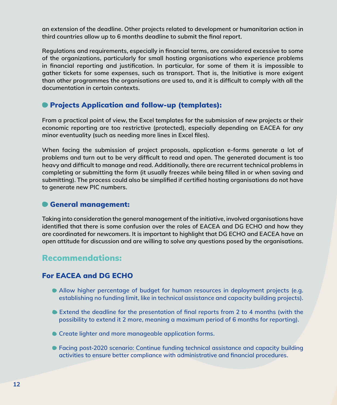**an extension of the deadline. Other projects related to development or humanitarian action in third countries allow up to 6 months deadline to submit the final report.**

**Regulations and requirements, especially in financial terms, are considered excessive to some of the organizations, particularly for small hosting organisations who experience problems in financial reporting and justification. In particular, for some of them it is impossible to gather tickets for some expenses, such as transport. That is, the Initiative is more exigent than other programmes the organisations are used to, and it is difficult to comply with all the documentation in certain contexts.**

### Projects Application and follow-up (templates):

**From a practical point of view, the Excel templates for the submission of new projects or their economic reporting are too restrictive (protected), especially depending on EACEA for any minor eventuality (such as needing more lines in Excel files).**

**When facing the submission of project proposals, application e-forms generate a lot of problems and turn out to be very difficult to read and open. The generated document is too heavy and difficult to manage and read. Additionally, there are recurrent technical problems in completing or submitting the form (it usually freezes while being filled in or when saving and submitting). The process could also be simplified if certified hosting organisations do not have to generate new PIC numbers.**

### General management:

**Taking into consideration the general management of the initiative, involved organisations have identified that there is some confusion over the roles of EACEA and DG ECHO and how they are coordinated for newcomers. It is important to highlight that DG ECHO and EACEA have an open attitude for discussion and are willing to solve any questions posed by the organisations.**

## Recommendations:

## For EACEA and DG ECHO

- **Allow higher percentage of budget for human resources in deployment projects (e.g. establishing no funding limit, like in technical assistance and capacity building projects).**
- **Extend the deadline for the presentation of final reports from 2 to 4 months (with the possibility to extend it 2 more, meaning a maximum period of 6 months for reporting).**
- **Create lighter and more manageable application forms.**
- **Facing post-2020 scenario: Continue funding technical assistance and capacity building activities to ensure better compliance with administrative and financial procedures.**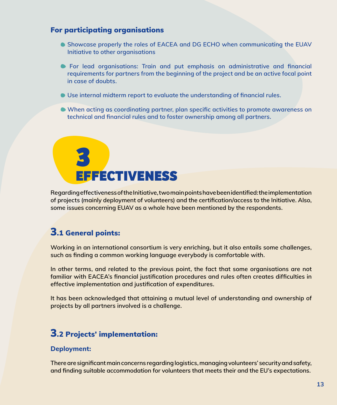#### For participating organisations

- **Showcase properly the roles of EACEA and DG ECHO when communicating the EUAV Initiative to other organisations**
- **For lead organisations: Train and put emphasis on administrative and financial requirements for partners from the beginning of the project and be an active focal point in case of doubts.**
- **Use internal midterm report to evaluate the understanding of financial rules.**
- **When acting as coordinating partner, plan specific activities to promote awareness on technical and financial rules and to foster ownership among all partners.**



**Regarding effectiveness of the Initiative, two main points have been identified: the implementation of projects (mainly deployment of volunteers) and the certification/access to the Initiative. Also, some issues concerning EUAV as a whole have been mentioned by the respondents.**

## 3.1 General points:

**Working in an international consortium is very enriching, but it also entails some challenges, such as finding a common working language everybody is comfortable with.**

**In other terms, and related to the previous point, the fact that some organisations are not familiar with EACEA's financial justification procedures and rules often creates difficulties in effective implementation and justification of expenditures.** 

**It has been acknowledged that attaining a mutual level of understanding and ownership of projects by all partners involved is a challenge.**

## 3.2 Projects' implementation:

#### **Deployment:**

**There are significant main concerns regarding logistics, managing volunteers' security and safety, and finding suitable accommodation for volunteers that meets their and the EU's expectations.**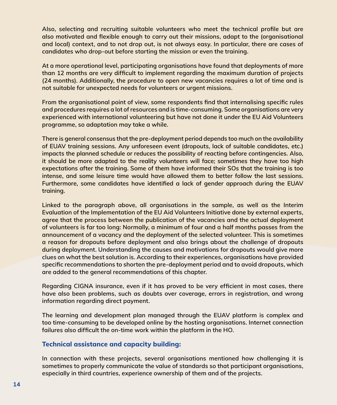**Also, selecting and recruiting suitable volunteers who meet the technical profile but are also motivated and flexible enough to carry out their missions, adapt to the (organisational and local) context, and to not drop out, is not always easy. In particular, there are cases of candidates who drop-out before starting the mission or even the training.**

**At a more operational level, participating organisations have found that deployments of more than 12 months are very difficult to implement regarding the maximum duration of projects (24 months). Additionally, the procedure to open new vacancies requires a lot of time and is not suitable for unexpected needs for volunteers or urgent missions.**

**From the organisational point of view, some respondents find that internalising specific rules and procedures requires a lot of resources and is time-consuming. Some organisations are very experienced with international volunteering but have not done it under the EU Aid Volunteers programme, so adaptation may take a while.**

**There is general consensus that the pre-deployment period depends too much on the availability of EUAV training sessions. Any unforeseen event (dropouts, lack of suitable candidates, etc.) impacts the planned schedule or reduces the possibility of reacting before contingencies. Also, it should be more adapted to the reality volunteers will face; sometimes they have too high expectations after the training. Some of them have informed their SOs that the training is too intense, and some leisure time would have allowed them to better follow the last sessions. Furthermore, some candidates have identified a lack of gender approach during the EUAV training.**

**Linked to the paragraph above, all organisations in the sample, as well as the Interim Evaluation of the Implementation of the EU Aid Volunteers Initiative done by external experts, agree that the process between the publication of the vacancies and the actual deployment of volunteers is far too long: Normally, a minimum of four and a half months passes from the announcement of a vacancy and the deployment of the selected volunteer. This is sometimes a reason for dropouts before deployment and also brings about the challenge of dropouts during deployment. Understanding the causes and motivations for dropouts would give more clues on what the best solution is. According to their experiences, organisations have provided specific recommendations to shorten the pre-deployment period and to avoid dropouts, which are added to the general recommendations of this chapter.**

**Regarding CIGNA insurance, even if it has proved to be very efficient in most cases, there have also been problems, such as doubts over coverage, errors in registration, and wrong information regarding direct payment.**

**The learning and development plan managed through the EUAV platform is complex and too time-consuming to be developed online by the hosting organisations. Internet connection failures also difficult the on-time work within the platform in the HO.**

#### **Technical assistance and capacity building:**

**In connection with these projects, several organisations mentioned how challenging it is sometimes to properly communicate the value of standards so that participant organisations, especially in third countries, experience ownership of them and of the projects.**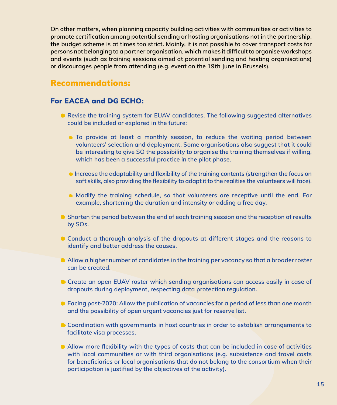**On other matters, when planning capacity building activities with communities or activities to promote certification among potential sending or hosting organisations not in the partnership, the budget scheme is at times too strict. Mainly, it is not possible to cover transport costs for persons not belonging to a partner organisation, which makes it difficult to organise workshops and events (such as training sessions aimed at potential sending and hosting organisations) or discourages people from attending (e.g. event on the 19th June in Brussels).**

### Recommendations:

#### For EACEA and DG ECHO:

- **Revise the training system for EUAV candidates. The following suggested alternatives could be included or explored in the future:** 
	- **To provide at least a monthly session, to reduce the waiting period between volunteers' selection and deployment. Some organisations also suggest that it could be interesting to give SO the possibility to organise the training themselves if willing, which has been a successful practice in the pilot phase.**
	- **Increase the adaptability and flexibility of the training contents (strengthen the focus on soft skills, also providing the flexibility to adapt it to the realities the volunteers will face).**
	- **Modify the training schedule, so that volunteers are receptive until the end. For example, shortening the duration and intensity or adding a free day.**
- **Shorten the period between the end of each training session and the reception of results by SOs.**
- **Conduct a thorough analysis of the dropouts at different stages and the reasons to identify and better address the causes.**
- **Allow a higher number of candidates in the training per vacancy so that a broader roster can be created.**
- **Create an open EUAV roster which sending organisations can access easily in case of dropouts during deployment, respecting data protection regulation.**
- **Facing post-2020: Allow the publication of vacancies for a period of less than one month and the possibility of open urgent vacancies just for reserve list.**
- **Coordination with governments in host countries in order to establish arrangements to facilitate visa processes.**
- **Allow more flexibility with the types of costs that can be included in case of activities with local communities or with third organisations (e.g. subsistence and travel costs for beneficiaries or local organisations that do not belong to the consortium when their participation is justified by the objectives of the activity).**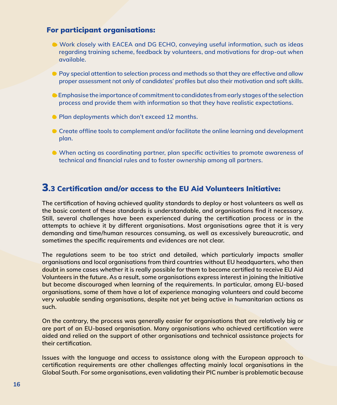#### For participant organisations:

- **Work closely with EACEA and DG ECHO, conveying useful information, such as ideas regarding training scheme, feedback by volunteers, and motivations for drop-out when available.**
- **Pay special attention to selection process and methods so that they are effective and allow proper assessment not only of candidates' profiles but also their motivation and soft skills.**
- **Emphasise the importance of commitment to candidates from early stages of the selection process and provide them with information so that they have realistic expectations.**
- **Plan deployments which don't exceed 12 months.**
- **Create offline tools to complement and/or facilitate the online learning and development plan.**
- **When acting as coordinating partner, plan specific activities to promote awareness of technical and financial rules and to foster ownership among all partners.**

## 3.3 Certification and/or access to the EU Aid Volunteers Initiative:

**The certification of having achieved quality standards to deploy or host volunteers as well as the basic content of these standards is understandable, and organisations find it necessary. Still, several challenges have been experienced during the certification process or in the attempts to achieve it by different organisations. Most organisations agree that it is very demanding and time/human resources consuming, as well as excessively bureaucratic, and sometimes the specific requirements and evidences are not clear.**

**The regulations seem to be too strict and detailed, which particularly impacts smaller organisations and local organisations from third countries without EU headquarters, who then doubt in some cases whether it is really possible for them to become certified to receive EU Aid Volunteers in the future. As a result, some organisations express interest in joining the Initiative but become discouraged when learning of the requirements. In particular, among EU-based organisations, some of them have a lot of experience managing volunteers and could become very valuable sending organisations, despite not yet being active in humanitarian actions as such.** 

**On the contrary, the process was generally easier for organisations that are relatively big or are part of an EU-based organisation. Many organisations who achieved certification were aided and relied on the support of other organisations and technical assistance projects for their certification.**

**Issues with the language and access to assistance along with the European approach to certification requirements are other challenges affecting mainly local organisations in the Global South. For some organisations, even validating their PIC number is problematic because**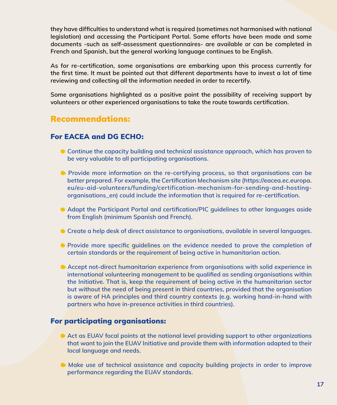**they have difficulties to understand what is required (sometimes not harmonised with national legislation) and accessing the Participant Portal. Some efforts have been made and some documents -such as self-assessment questionnaires- are available or can be completed in French and Spanish, but the general working language continues to be English.** 

**As for re-certification, some organisations are embarking upon this process currently for the first time. It must be pointed out that different departments have to invest a lot of time reviewing and collecting all the information needed in order to recertify.** 

**Some organisations highlighted as a positive point the possibility of receiving support by volunteers or other experienced organisations to take the route towards certification.**

## Recommendations:

### For EACEA and DG ECHO:

- **Continue the capacity building and technical assistance approach, which has proven to be very valuable to all participating organisations.**
- **Provide more information on the re-certifying process, so that organisations can be better prepared. For example, the Certification Mechanism site (https://eacea.ec.europa. eu/eu-aid-volunteers/funding/certification-mechanism-for-sending-and-hostingorganisations\_en) could include the information that is required for re-certification.**
- **Adapt the Participant Portal and certification/PIC guidelines to other languages aside from English (minimum Spanish and French).**
- **Create a help desk of direct assistance to organisations, available in several languages.**
- **Provide more specific quidelines on the evidence needed to prove the completion of certain standards or the requirement of being active in humanitarian action.**
- **Accept not-direct humanitarian experience from organisations with solid experience in international volunteering management to be qualified as sending organisations within the Initiative. That is, keep the requirement of being active in the humanitarian sector but without the need of being present in third countries, provided that the organisation is aware of HA principles and third country contexts (e.g. working hand-in-hand with partners who have in-presence activities in third countries).**

### For participating organisations:

- **Act as EUAV focal points at the national level providing support to other organizations that want to join the EUAV Initiative and provide them with information adapted to their local language and needs.**
- **Make use of technical assistance and capacity building projects in order to improve performance regarding the EUAV standards.**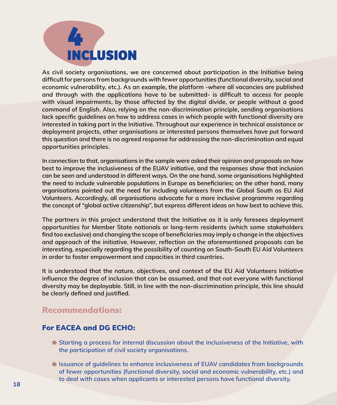

**As civil society organisations, we are concerned about participation in the Initiative being difficult for persons from backgrounds with fewer opportunities (functional diversity, social and economic vulnerability, etc.). As an example, the platform -where all vacancies are published and through with the applications have to be submitted- is difficult to access for people with visual impairments, by those affected by the digital divide, or people without a good command of English. Also, relying on the non-discrimination principle, sending organisations lack specific guidelines on how to address cases in which people with functional diversity are interested in taking part in the Initiative. Throughout our experience in technical assistance or deployment projects, other organisations or interested persons themselves have put forward this question and there is no agreed response for addressing the non-discrimination and equal opportunities principles.** 

**In connection to that, organisations in the sample were asked their opinion and proposals on how best to improve the inclusiveness of the EUAV initiative, and the responses show that inclusion can be seen and understood in different ways. On the one hand, some organisations highlighted the need to include vulnerable populations in Europe as beneficiaries; on the other hand, many organisations pointed out the need for including volunteers from the Global South as EU Aid Volunteers. Accordingly, all organisations advocate for a more inclusive programme regarding the concept of "global active citizenship", but express different ideas on how best to achieve this.**

**The partners in this project understand that the Initiative as it is only foresees deployment opportunities for Member State nationals or long-term residents (which some stakeholders find too exclusive) and changing the scope of beneficiaries may imply a change in the objectives and approach of the initiative. However, reflection on the aforementioned proposals can be interesting, especially regarding the possibility of counting on South-South EU Aid Volunteers in order to foster empowerment and capacities in third countries.**

**It is understood that the nature, objectives, and context of the EU Aid Volunteers Initiative influence the degree of inclusion that can be assumed, and that not everyone with functional diversity may be deployable. Still, in line with the non-discrimination principle, this line should be clearly defined and justified.**

## Recommendations:

### For EACEA and DG ECHO:

- **Starting a process for internal discussion about the inclusiveness of the Initiative, with the participation of civil society organisations.**
- **Issuance of guidelines to enhance inclusiveness of EUAV candidates from backgrounds of fewer opportunities (functional diversity, social and economic vulnerability, etc.) and to deal with cases when applicants or interested persons have functional diversity. 18**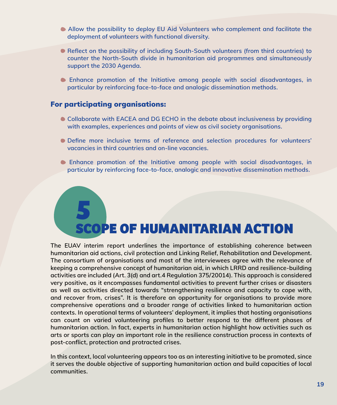- **Allow the possibility to deploy EU Aid Volunteers who complement and facilitate the deployment of volunteers with functional diversity.**
- **Reflect on the possibility of including South-South volunteers (from third countries) to counter the North-South divide in humanitarian aid programmes and simultaneously support the 2030 Agenda.**
- **Enhance promotion of the Initiative among people with social disadvantages, in particular by reinforcing face-to-face and analogic dissemination methods.**

#### For participating organisations:

- **Collaborate with EACEA and DG ECHO in the debate about inclusiveness by providing with examples, experiences and points of view as civil society organisations.**
- **Define more inclusive terms of reference and selection procedures for volunteers' vacancies in third countries and on-line vacancies.**
- **Enhance promotion of the Initiative among people with social disadvantages, in particular by reinforcing face-to-face, analogic and innovative dissemination methods.**

# **5 SCOPE OF HUMANITARIAN ACTION**

**The EUAV interim report underlines the importance of establishing coherence between humanitarian aid actions, civil protection and Linking Relief, Rehabilitation and Development. The consortium of organisations and most of the interviewees agree with the relevance of keeping a comprehensive concept of humanitarian aid, in which LRRD and resilience-building activities are included (Art. 3(d) and art.4 Regulation 375/20014). This approach is considered very positive, as it encompasses fundamental activities to prevent further crises or disasters as well as activities directed towards "strengthening resilience and capacity to cope with, and recover from, crises". It is therefore an opportunity for organisations to provide more comprehensive operations and a broader range of activities linked to humanitarian action contexts. In operational terms of volunteers' deployment, it implies that hosting organisations can count on varied volunteering profiles to better respond to the different phases of humanitarian action. In fact, experts in humanitarian action highlight how activities such as arts or sports can play an important role in the resilience construction process in contexts of post-conflict, protection and protracted crises.**

**In this context, local volunteering appears too as an interesting initiative to be promoted, since it serves the double objective of supporting humanitarian action and build capacities of local communities.**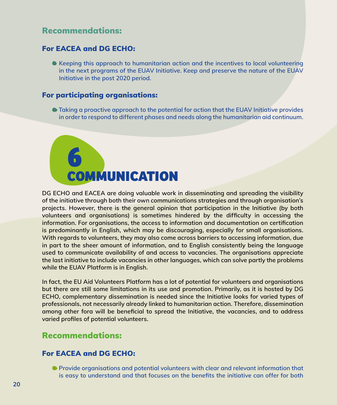## Recommendations:

#### For EACEA and DG ECHO:

**Keeping this approach to humanitarian action and the incentives to local volunteering in the next programs of the EUAV Initiative. Keep and preserve the nature of the EUAV Initiative in the post 2020 period.**

#### For participating organisations:

 **Taking a proactive approach to the potential for action that the EUAV Initiative provides in order to respond to different phases and needs along the humanitarian aid continuum.**



**DG ECHO and EACEA are doing valuable work in disseminating and spreading the visibility of the initiative through both their own communications strategies and through organisation's projects. However, there is the general opinion that participation in the Initiative (by both volunteers and organisations) is sometimes hindered by the difficulty in accessing the information. For organisations, the access to information and documentation on certification is predominantly in English, which may be discouraging, especially for small organisations. With regards to volunteers, they may also come across barriers to accessing information, due in part to the sheer amount of information, and to English consistently being the language used to communicate availability of and access to vacancies. The organisations appreciate the last initiative to include vacancies in other languages, which can solve partly the problems while the EUAV Platform is in English.**

**In fact, the EU Aid Volunteers Platform has a lot of potential for volunteers and organisations but there are still some limitations in its use and promotion. Primarily, as it is hosted by DG ECHO, complementary dissemination is needed since the Initiative looks for varied types of professionals, not necessarily already linked to humanitarian action. Therefore, dissemination among other fora will be beneficial to spread the Initiative, the vacancies, and to address varied profiles of potential volunteers.**

## Recommendations:

### For EACEA and DG ECHO:

 **Provide organisations and potential volunteers with clear and relevant information that is easy to understand and that focuses on the benefits the initiative can offer for both**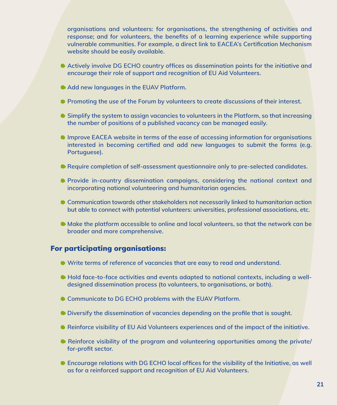**organisations and volunteers: for organisations, the strengthening of activities and response; and for volunteers, the benefits of a learning experience while supporting vulnerable communities. For example, a direct link to EACEA's Certification Mechanism website should be easily available.**

- **Actively involve DG ECHO country offices as dissemination points for the initiative and encourage their role of support and recognition of EU Aid Volunteers.**
- **Add new languages in the EUAV Platform.**
- **Promoting the use of the Forum by volunteers to create discussions of their interest.**
- **Simplify the system to assign vacancies to volunteers in the Platform, so that increasing the number of positions of a published vacancy can be managed easily.**
- **Improve EACEA website in terms of the ease of accessing information for organisations interested in becoming certified and add new languages to submit the forms (e.g. Portuguese).**
- **Require completion of self-assessment questionnaire only to pre-selected candidates.**
- **Provide in-country dissemination campaigns, considering the national context and incorporating national volunteering and humanitarian agencies.**
- **Communication towards other stakeholders not necessarily linked to humanitarian action but able to connect with potential volunteers: universities, professional associations, etc.**
- **Make the platform accessible to online and local volunteers, so that the network can be broader and more comprehensive.**

### For participating organisations:

- **Write terms of reference of vacancies that are easy to read and understand.**
- Hold face-to-face activities and events adapted to national contexts, including a well**designed dissemination process (to volunteers, to organisations, or both).**
- **Communicate to DG ECHO problems with the EUAV Platform.**
- **Diversify the dissemination of vacancies depending on the profile that is sought.**
- **Reinforce visibility of EU Aid Volunteers experiences and of the impact of the initiative.**
- **Reinforce visibility of the program and volunteering opportunities among the private/ for-profit sector.**
- **Encourage relations with DG ECHO local offices for the visibility of the Initiative, as well as for a reinforced support and recognition of EU Aid Volunteers.**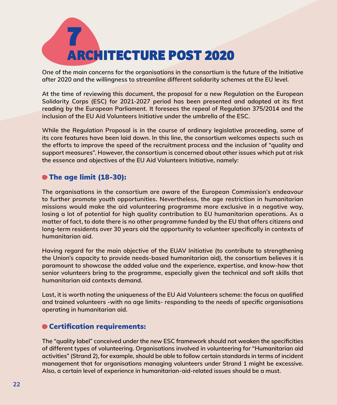

**One of the main concerns for the organisations in the consortium is the future of the Initiative after 2020 and the willingness to streamline different solidarity schemes at the EU level.** 

**At the time of reviewing this document, the proposal for a new Regulation on the European Solidarity Corps (ESC) for 2021-2027 period has been presented and adopted at its first reading by the European Parliament. It foresees the repeal of Regulation 375/2014 and the inclusion of the EU Aid Volunteers Initiative under the umbrella of the ESC.**

**While the Regulation Proposal is in the course of ordinary legislative proceeding, some of its core features have been laid down. In this line, the consortium welcomes aspects such as the efforts to improve the speed of the recruitment process and the inclusion of "quality and support measures". However, the consortium is concerned about other issues which put at risk the essence and objectives of the EU Aid Volunteers Initiative, namely:**

### The age limit (18-30):

**The organisations in the consortium are aware of the European Commission's endeavour to further promote youth opportunities. Nevertheless, the age restriction in humanitarian missions would make the aid volunteering programme more exclusive in a negative way, losing a lot of potential for high quality contribution to EU humanitarian operations. As a matter of fact, to date there is no other programme funded by the EU that offers citizens and long-term residents over 30 years old the opportunity to volunteer specifically in contexts of humanitarian aid.** 

**Having regard for the main objective of the EUAV Initiative (to contribute to strengthening the Union's capacity to provide needs-based humanitarian aid), the consortium believes it is paramount to showcase the added value and the experience, expertise, and know-how that senior volunteers bring to the programme, especially given the technical and soft skills that humanitarian aid contexts demand.** 

**Last, it is worth noting the uniqueness of the EU Aid Volunteers scheme: the focus on qualified and trained volunteers -with no age limits- responding to the needs of specific organisations operating in humanitarian aid.**

#### Certification requirements:

**The "quality label" conceived under the new ESC framework should not weaken the specificities of different types of volunteering. Organisations involved in volunteering for "Humanitarian aid activities" (Strand 2), for example, should be able to follow certain standards in terms of incident management that for organisations managing volunteers under Strand 1 might be excessive. Also, a certain level of experience in humanitarian-aid-related issues should be a must.**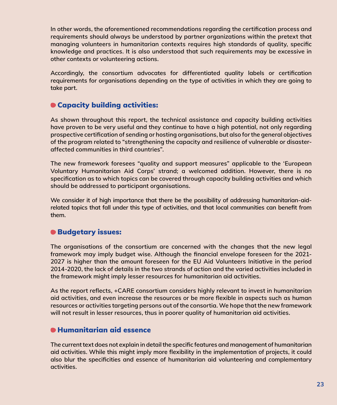**In other words, the aforementioned recommendations regarding the certification process and requirements should always be understood by partner organizations within the pretext that managing volunteers in humanitarian contexts requires high standards of quality, specific knowledge and practices. It is also understood that such requirements may be excessive in other contexts or volunteering actions.** 

**Accordingly, the consortium advocates for differentiated quality labels or certification requirements for organisations depending on the type of activities in which they are going to take part.** 

## Capacity building activities:

**As shown throughout this report, the technical assistance and capacity building activities have proven to be very useful and they continue to have a high potential, not only regarding prospective certification of sending or hosting organisations, but also for the general objectives of the program related to "strengthening the capacity and resilience of vulnerable or disasteraffected communities in third countries".** 

**The new framework foresees "quality and support measures" applicable to the 'European Voluntary Humanitarian Aid Corps' strand; a welcomed addition. However, there is no specification as to which topics can be covered through capacity building activities and which should be addressed to participant organisations.** 

**We consider it of high importance that there be the possibility of addressing humanitarian-aidrelated topics that fall under this type of activities, and that local communities can benefit from them.** 

### Budgetary issues:

**The organisations of the consortium are concerned with the changes that the new legal framework may imply budget wise. Although the financial envelope foreseen for the 2021- 2027 is higher than the amount foreseen for the EU Aid Volunteers Initiative in the period 2014-2020, the lack of details in the two strands of action and the varied activities included in the framework might imply lesser resources for humanitarian aid activities.** 

**As the report reflects, +CARE consortium considers highly relevant to invest in humanitarian aid activities, and even increase the resources or be more flexible in aspects such as human resources or activities targeting persons out of the consortia. We hope that the new framework will not result in lesser resources, thus in poorer quality of humanitarian aid activities.**

#### Humanitarian aid essence

**The current text does not explain in detail the specific features and management of humanitarian aid activities. While this might imply more flexibility in the implementation of projects, it could also blur the specificities and essence of humanitarian aid volunteering and complementary activities.**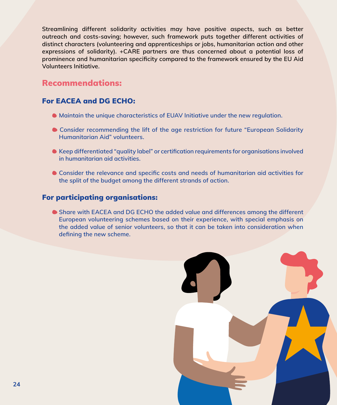**Streamlining different solidarity activities may have positive aspects, such as better outreach and costs-saving; however, such framework puts together different activities of distinct characters (volunteering and apprenticeships or jobs, humanitarian action and other expressions of solidarity). +CARE partners are thus concerned about a potential loss of prominence and humanitarian specificity compared to the framework ensured by the EU Aid Volunteers Initiative.**

## Recommendations:

### For EACEA and DG ECHO:

- **Maintain the unique characteristics of EUAV Initiative under the new regulation.**
- **Consider recommending the lift of the age restriction for future "European Solidarity Humanitarian Aid" volunteers.**
- **Keep differentiated "quality label" or certification requirements for organisations involved in humanitarian aid activities.**
- **Consider the relevance and specific costs and needs of humanitarian aid activities for the split of the budget among the different strands of action.**

### For participating organisations:

 **Share with EACEA and DG ECHO the added value and differences among the different European volunteering schemes based on their experience, with special emphasis on the added value of senior volunteers, so that it can be taken into consideration when defining the new scheme.**

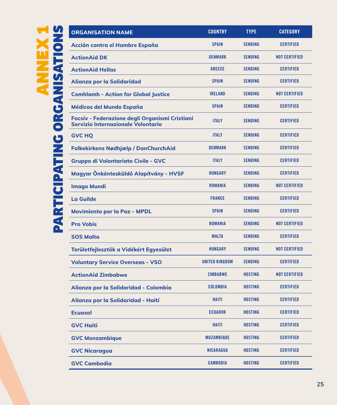| <b>ORGANISATION NAME</b>                                                             | <b>COUNTRY</b>        | <b>TYPE</b>    | <b>CATEGORY</b>      |
|--------------------------------------------------------------------------------------|-----------------------|----------------|----------------------|
| Acción contra el Hambre España                                                       | <b>SPAIN</b>          | <b>SENDING</b> | <b>CERTIFIED</b>     |
| <b>ActionAid DK</b>                                                                  | <b>DENMARK</b>        | <b>SENDING</b> | <b>NOT CERTIFIED</b> |
| <b>ActionAid Hellas</b>                                                              | <b>GREECE</b>         | <b>SENDING</b> | <b>CERTIFIED</b>     |
| Alianza por la Solidaridad                                                           | <b>SPAIN</b>          | <b>SENDING</b> | <b>CERTIFIED</b>     |
| <b>Comhlamh - Action for Global Justice</b>                                          | <b>IRELAND</b>        | <b>SENDING</b> | <b>NOT CERTIFIED</b> |
| Médicos del Mundo España                                                             | <b>SPAIN</b>          | <b>SENDING</b> | <b>CERTIFIED</b>     |
| Focsiv - Federazione degli Organismi Cristiani<br>Servizio Internazionale Volontario | <b>ITALY</b>          | <b>SENDING</b> | <b>CERTIFIED</b>     |
| <b>GVC HQ</b>                                                                        | <b>ITALY</b>          | <b>SENDING</b> | <b>CERTIFIED</b>     |
| <b>Folkekirkens Nødhjælp / DanChurchAid</b>                                          | <b>DENMARK</b>        | <b>SENDING</b> | <b>CERTIFIED</b>     |
| <b>Gruppo di Volontariato Civile - GVC</b>                                           | <b>ITALY</b>          | <b>SENDING</b> | <b>CERTIFIED</b>     |
| Magyar Önkéntesküldő Alapítvány - HVSF                                               | <b>HUNGARY</b>        | <b>SENDING</b> | <b>CERTIFIED</b>     |
| <b>Imago Mundi</b>                                                                   | <b>ROMANIA</b>        | <b>SENDING</b> | <b>NOT CERTIFIED</b> |
| La Guilde                                                                            | <b>FRANCE</b>         | <b>SENDING</b> | <b>CERTIFIED</b>     |
| <b>Movimiento por la Paz - MPDL</b>                                                  | <b>SPAIN</b>          | <b>SENDING</b> | <b>CERTIFIED</b>     |
| <b>Pro Vobis</b>                                                                     | <b>ROMANIA</b>        | <b>SENDING</b> | <b>NOT CERTIFIED</b> |
| <b>SOS Malta</b>                                                                     | <b>MALTA</b>          | <b>SENDING</b> | <b>CERTIFIED</b>     |
| Területfejlesztők a Vidékért Egyesület                                               | <b>HUNGARY</b>        | <b>SENDING</b> | <b>NOT CERTIFIED</b> |
| <b>Voluntary Service Overseas - VSO</b>                                              | <b>UNITED KINGDOM</b> | <b>SENDING</b> | <b>CERTIFIED</b>     |
| <b>ActionAid Zimbabwe</b>                                                            | <b>ZIMBABWE</b>       | <b>HOSTING</b> | <b>NOT CERTIFIED</b> |
| Alianza por la Solidaridad - Colombia                                                | <b>COLOMBIA</b>       | <b>HOSTING</b> | <b>CERTIFIED</b>     |
| Alianza por la Solidaridad - Haití                                                   | <b>HAITI</b>          | <b>HOSTING</b> | <b>CERTIFIED</b>     |
| <b>Ecuasol</b>                                                                       | <b>ECUADOR</b>        | <b>HOSTING</b> | <b>CERTIFIED</b>     |
| <b>GVC Haiti</b>                                                                     | <b>HAITI</b>          | <b>HOSTING</b> | <b>CERTIFIED</b>     |
| <b>GVC Monzambique</b>                                                               | <b>MOZAMBIQUE</b>     | <b>HOSTING</b> | <b>CERTIFIED</b>     |
| <b>GVC Nicaragua</b>                                                                 | <b>NICARAGUA</b>      | <b>HOSTING</b> | <b>CERTIFIED</b>     |
| <b>GVC Cambodia</b>                                                                  | <b>CAMBODIA</b>       | <b>HOSTING</b> | <b>CERTIFIED</b>     |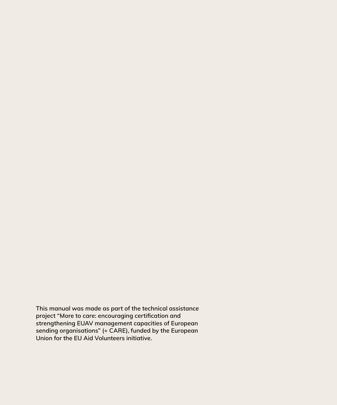**This manual was made as part of the technical assistance project "More to care: encouraging certification and strengthening EUAV management capacities of European sending organisations" (+ CARE), funded by the European Union for the EU Aid Volunteers initiative.**